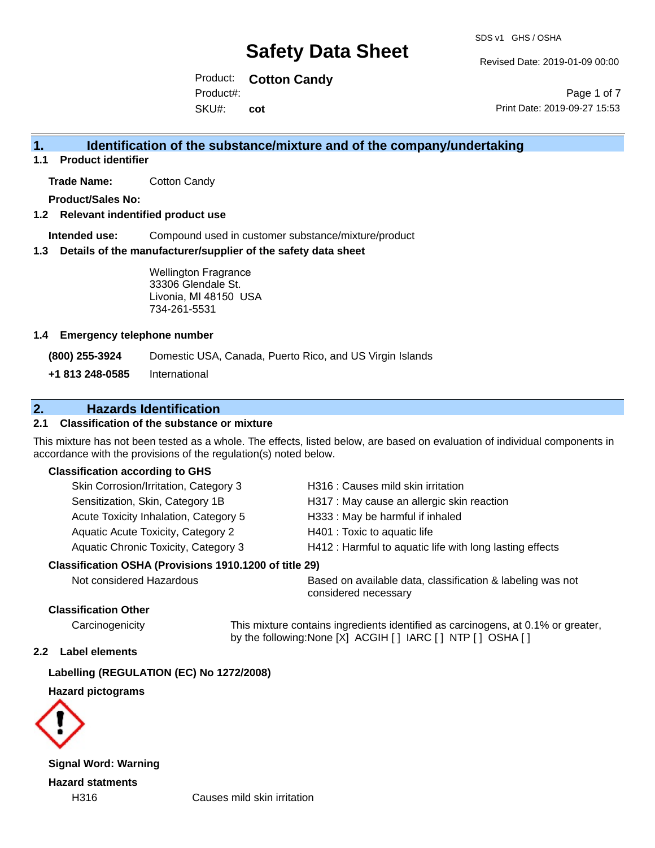Revised Date: 2019-01-09 00:00

Product: **Cotton Candy** SKU#: Product#: **cot**

Page 1 of 7 Print Date: 2019-09-27 15:53

### **1. Identification of the substance/mixture and of the company/undertaking**

**1.1 Product identifier**

**Trade Name:** Cotton Candy

**Product/Sales No:**

### **1.2 Relevant indentified product use**

**Intended use:** Compound used in customer substance/mixture/product

### **1.3 Details of the manufacturer/supplier of the safety data sheet**

Wellington Fragrance 33306 Glendale St. Livonia, MI 48150 USA 734-261-5531

### **1.4 Emergency telephone number**

**(800) 255-3924** Domestic USA, Canada, Puerto Rico, and US Virgin Islands

**+1 813 248-0585** International

### **2. Hazards Identification**

### **2.1 Classification of the substance or mixture**

This mixture has not been tested as a whole. The effects, listed below, are based on evaluation of individual components in accordance with the provisions of the regulation(s) noted below.

### **Classification according to GHS**

| Skin Corrosion/Irritation, Category 3                  | H316 : Causes mild skin irritation                       |
|--------------------------------------------------------|----------------------------------------------------------|
| Sensitization, Skin, Category 1B                       | H317 : May cause an allergic skin reaction               |
| Acute Toxicity Inhalation, Category 5                  | H333: May be harmful if inhaled                          |
| Aquatic Acute Toxicity, Category 2                     | H401 : Toxic to aquatic life                             |
| Aquatic Chronic Toxicity, Category 3                   | H412 : Harmful to aquatic life with long lasting effects |
| Classification OSHA (Provisions 1910.1200 of title 29) |                                                          |
|                                                        |                                                          |

Not considered Hazardous Based on available data, classification & labeling was not considered necessary

### **Classification Other**

Carcinogenicity This mixture contains ingredients identified as carcinogens, at 0.1% or greater, by the following:None [X] ACGIH [ ] IARC [ ] NTP [ ] OSHA [ ]

#### **2.2 Label elements**

### **Labelling (REGULATION (EC) No 1272/2008)**

### **Hazard pictograms**



**Signal Word: Warning Hazard statments**

H316 Causes mild skin irritation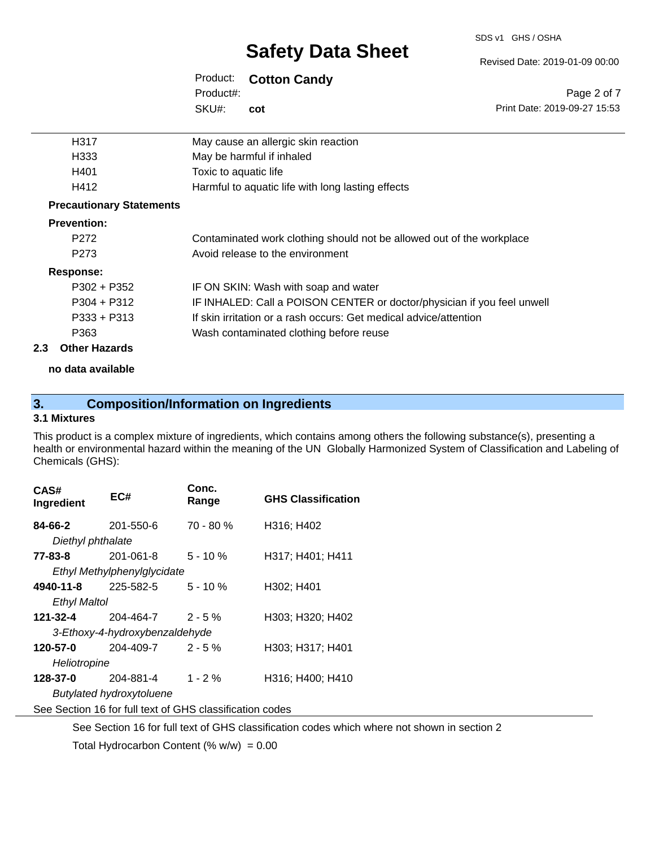#### SDS v1 GHS / OSHA

# **Safety Data Sheet**

### Product: **Cotton Candy**

SKU#: Product#: **cot**

| H317                            | May cause an allergic skin reaction                                     |
|---------------------------------|-------------------------------------------------------------------------|
| H333                            | May be harmful if inhaled                                               |
| H401                            | Toxic to aquatic life                                                   |
| H412                            | Harmful to aquatic life with long lasting effects                       |
| <b>Precautionary Statements</b> |                                                                         |
| <b>Prevention:</b>              |                                                                         |
| P <sub>272</sub>                | Contaminated work clothing should not be allowed out of the workplace   |
| P <sub>273</sub>                | Avoid release to the environment                                        |
| Response:                       |                                                                         |
| $P302 + P352$                   | IF ON SKIN: Wash with soap and water                                    |
| $P304 + P312$                   | IF INHALED: Call a POISON CENTER or doctor/physician if you feel unwell |
| $P333 + P313$                   | If skin irritation or a rash occurs: Get medical advice/attention       |
| P363                            | Wash contaminated clothing before reuse                                 |

### **2.3 Other Hazards**

**no data available**

### **3. Composition/Information on Ingredients**

### **3.1 Mixtures**

This product is a complex mixture of ingredients, which contains among others the following substance(s), presenting a health or environmental hazard within the meaning of the UN Globally Harmonized System of Classification and Labeling of Chemicals (GHS):

| CAS#<br>Ingredient             | EC#                             | Conc.<br>Range | <b>GHS Classification</b> |  |
|--------------------------------|---------------------------------|----------------|---------------------------|--|
| 84-66-2                        | 201-550-6                       | $70 - 80 %$    | H316; H402                |  |
| Diethyl phthalate              |                                 |                |                           |  |
| 77-83-8                        | 201-061-8                       | $5 - 10 \%$    | H317; H401; H411          |  |
|                                | Ethyl Methylphenylglycidate     |                |                           |  |
| 4940-11-8                      | 225-582-5                       | $5 - 10 \%$    | H302; H401                |  |
| <b>Ethyl Maltol</b>            |                                 |                |                           |  |
| 121-32-4                       | 204-464-7                       | $2 - 5 \%$     | H303; H320; H402          |  |
| 3-Ethoxy-4-hydroxybenzaldehyde |                                 |                |                           |  |
| 120-57-0                       | 204-409-7                       | $2 - 5\%$      | H303: H317: H401          |  |
| Heliotropine                   |                                 |                |                           |  |
| 128-37-0                       | 204-881-4                       | $1 - 2%$       | H316; H400; H410          |  |
|                                | <b>Butylated hydroxytoluene</b> |                |                           |  |

See Section 16 for full text of GHS classification codes

See Section 16 for full text of GHS classification codes which where not shown in section 2

Total Hydrocarbon Content  $(\% w/w) = 0.00$ 

#### Revised Date: 2019-01-09 00:00

Page 2 of 7 Print Date: 2019-09-27 15:53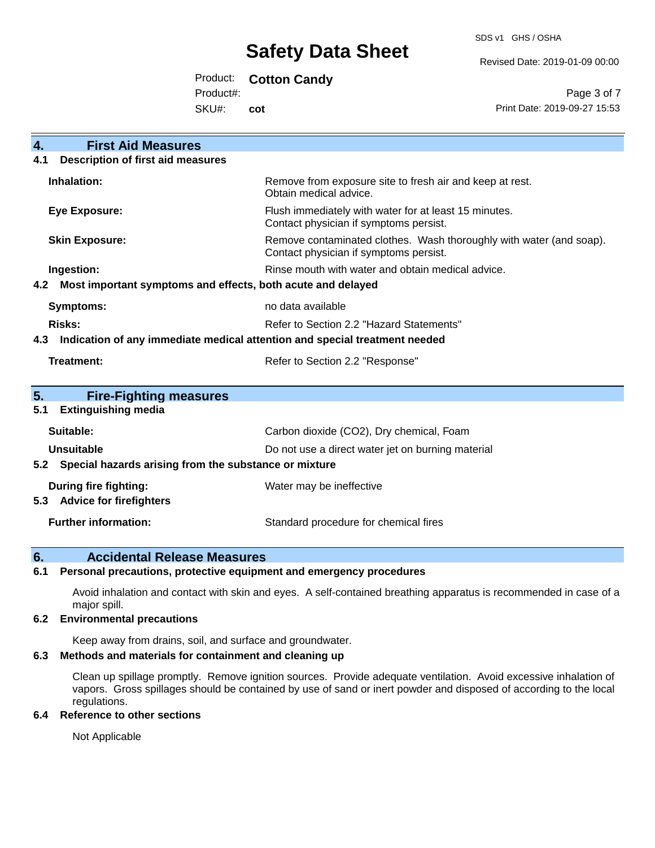SDS v1 GHS / OSHA

Revised Date: 2019-01-09 00:00

Product: **Cotton Candy**

Product#:

SKU#: **cot**

Page 3 of 7 Print Date: 2019-09-27 15:53

| 4.<br><b>First Aid Measures</b>                                                   |                                                                                                               |  |
|-----------------------------------------------------------------------------------|---------------------------------------------------------------------------------------------------------------|--|
| <b>Description of first aid measures</b><br>4.1                                   |                                                                                                               |  |
| Inhalation:                                                                       | Remove from exposure site to fresh air and keep at rest.<br>Obtain medical advice.                            |  |
| <b>Eye Exposure:</b>                                                              | Flush immediately with water for at least 15 minutes.<br>Contact physician if symptoms persist.               |  |
| <b>Skin Exposure:</b>                                                             | Remove contaminated clothes. Wash thoroughly with water (and soap).<br>Contact physician if symptoms persist. |  |
| Ingestion:                                                                        | Rinse mouth with water and obtain medical advice.                                                             |  |
| Most important symptoms and effects, both acute and delayed<br>4.2                |                                                                                                               |  |
| <b>Symptoms:</b>                                                                  | no data available                                                                                             |  |
| Risks:                                                                            | Refer to Section 2.2 "Hazard Statements"                                                                      |  |
| Indication of any immediate medical attention and special treatment needed<br>4.3 |                                                                                                               |  |
| <b>Treatment:</b>                                                                 | Refer to Section 2.2 "Response"                                                                               |  |
|                                                                                   |                                                                                                               |  |
| 5.<br><b>Fire-Fighting measures</b>                                               |                                                                                                               |  |
| <b>Extinguishing media</b><br>5.1                                                 |                                                                                                               |  |
| Suitable:                                                                         | Carbon dioxide (CO2), Dry chemical, Foam                                                                      |  |
| <b>Unsuitable</b>                                                                 | Do not use a direct water jet on burning material                                                             |  |
| 5.2 Special hazards arising from the substance or mixture                         |                                                                                                               |  |
| During fire fighting:                                                             | Water may be ineffective                                                                                      |  |
| <b>Advice for firefighters</b><br>5.3                                             |                                                                                                               |  |
| <b>Further information:</b>                                                       | Standard procedure for chemical fires                                                                         |  |

### **6. Accidental Release Measures**

### **6.1 Personal precautions, protective equipment and emergency procedures**

Avoid inhalation and contact with skin and eyes. A self-contained breathing apparatus is recommended in case of a major spill.

### **6.2 Environmental precautions**

Keep away from drains, soil, and surface and groundwater.

### **6.3 Methods and materials for containment and cleaning up**

Clean up spillage promptly. Remove ignition sources. Provide adequate ventilation. Avoid excessive inhalation of vapors. Gross spillages should be contained by use of sand or inert powder and disposed of according to the local regulations.

### **6.4 Reference to other sections**

Not Applicable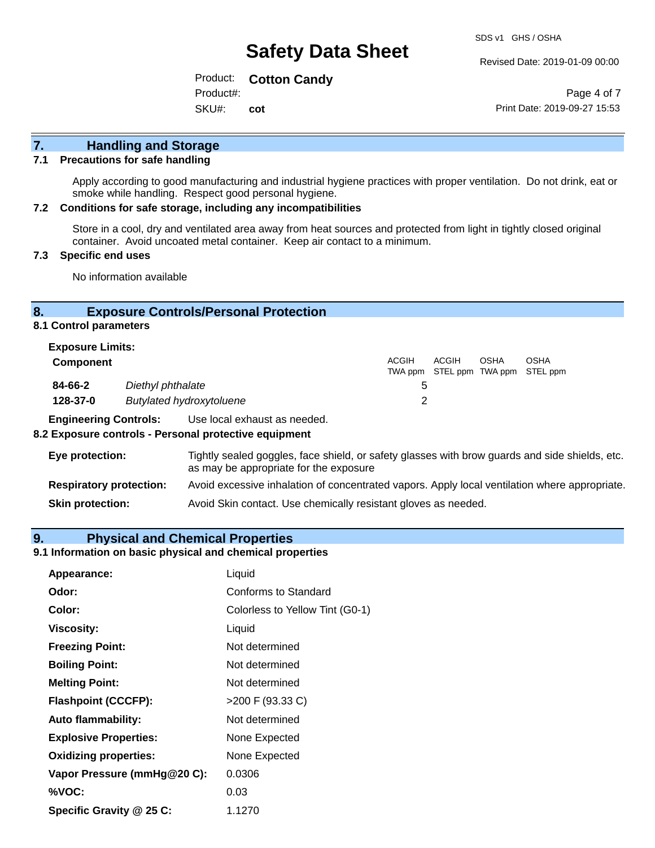Revised Date: 2019-01-09 00:00

Product: **Cotton Candy** SKU#: Product#: **cot**

Page 4 of 7 Print Date: 2019-09-27 15:53

## **7. Handling and Storage**

### **7.1 Precautions for safe handling**

Apply according to good manufacturing and industrial hygiene practices with proper ventilation. Do not drink, eat or smoke while handling. Respect good personal hygiene.

#### **7.2 Conditions for safe storage, including any incompatibilities**

Store in a cool, dry and ventilated area away from heat sources and protected from light in tightly closed original container. Avoid uncoated metal container. Keep air contact to a minimum.

### **7.3 Specific end uses**

No information available

### **8. Exposure Controls/Personal Protection**

**8.1 Control parameters**

| <b>Exposure Limits:</b> |                                 |              |       |             |                                                  |
|-------------------------|---------------------------------|--------------|-------|-------------|--------------------------------------------------|
| <b>Component</b>        |                                 | <b>ACGIH</b> | ACGIH | <b>OSHA</b> | <b>OSHA</b><br>TWA ppm STEL ppm TWA ppm STEL ppm |
| 84-66-2                 | Diethyl phthalate               | 5            |       |             |                                                  |
| 128-37-0                | <b>Butylated hydroxytoluene</b> |              |       |             |                                                  |

**Engineering Controls:** Use local exhaust as needed.

#### **8.2 Exposure controls - Personal protective equipment**

| Eye protection:                | Tightly sealed goggles, face shield, or safety glasses with brow guards and side shields, etc.<br>as may be appropriate for the exposure |
|--------------------------------|------------------------------------------------------------------------------------------------------------------------------------------|
| <b>Respiratory protection:</b> | Avoid excessive inhalation of concentrated vapors. Apply local ventilation where appropriate.                                            |
| <b>Skin protection:</b>        | Avoid Skin contact. Use chemically resistant gloves as needed.                                                                           |

### **9. Physical and Chemical Properties**

### **9.1 Information on basic physical and chemical properties**

| Appearance:                  | Liquid                          |
|------------------------------|---------------------------------|
| Odor:                        | Conforms to Standard            |
| Color:                       | Colorless to Yellow Tint (G0-1) |
| <b>Viscosity:</b>            | Liquid                          |
| <b>Freezing Point:</b>       | Not determined                  |
| <b>Boiling Point:</b>        | Not determined                  |
| <b>Melting Point:</b>        | Not determined                  |
| <b>Flashpoint (CCCFP):</b>   | >200 F (93.33 C)                |
| <b>Auto flammability:</b>    | Not determined                  |
| <b>Explosive Properties:</b> | None Expected                   |
| <b>Oxidizing properties:</b> | None Expected                   |
| Vapor Pressure (mmHg@20 C):  | 0.0306                          |
| %VOC:                        | 0.03                            |
| Specific Gravity @ 25 C:     | 1.1270                          |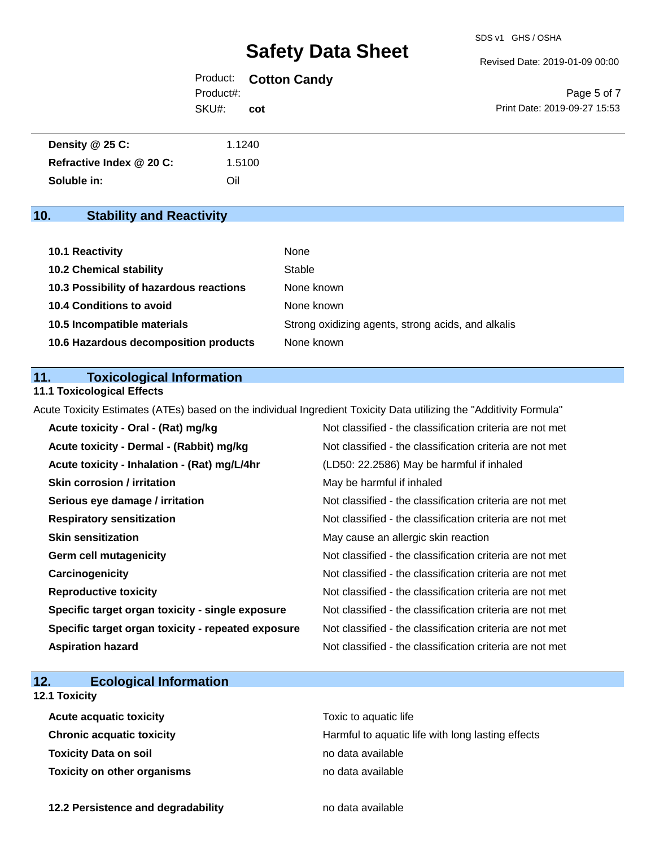Revised Date: 2019-01-09 00:00

|           | Product: Cotton Candy |
|-----------|-----------------------|
| Product#: |                       |
| SKU#:     | cot                   |

Page 5 of 7 Print Date: 2019-09-27 15:53

| Density @ 25 C:          | 1.1240 |
|--------------------------|--------|
| Refractive Index @ 20 C: | 1.5100 |
| Soluble in:              | Oil    |

### **10. Stability and Reactivity**

| 10.1 Reactivity                         | None                                               |
|-----------------------------------------|----------------------------------------------------|
| <b>10.2 Chemical stability</b>          | Stable                                             |
| 10.3 Possibility of hazardous reactions | None known                                         |
| <b>10.4 Conditions to avoid</b>         | None known                                         |
| 10.5 Incompatible materials             | Strong oxidizing agents, strong acids, and alkalis |
| 10.6 Hazardous decomposition products   | None known                                         |

### **11. Toxicological Information**

### **11.1 Toxicological Effects**

Acute Toxicity Estimates (ATEs) based on the individual Ingredient Toxicity Data utilizing the "Additivity Formula"

| Acute toxicity - Oral - (Rat) mg/kg                | Not classified - the classification criteria are not met |
|----------------------------------------------------|----------------------------------------------------------|
| Acute toxicity - Dermal - (Rabbit) mg/kg           | Not classified - the classification criteria are not met |
| Acute toxicity - Inhalation - (Rat) mg/L/4hr       | (LD50: 22.2586) May be harmful if inhaled                |
| <b>Skin corrosion / irritation</b>                 | May be harmful if inhaled                                |
| Serious eye damage / irritation                    | Not classified - the classification criteria are not met |
| <b>Respiratory sensitization</b>                   | Not classified - the classification criteria are not met |
| <b>Skin sensitization</b>                          | May cause an allergic skin reaction                      |
| <b>Germ cell mutagenicity</b>                      | Not classified - the classification criteria are not met |
| Carcinogenicity                                    | Not classified - the classification criteria are not met |
| <b>Reproductive toxicity</b>                       | Not classified - the classification criteria are not met |
| Specific target organ toxicity - single exposure   | Not classified - the classification criteria are not met |
| Specific target organ toxicity - repeated exposure | Not classified - the classification criteria are not met |
| <b>Aspiration hazard</b>                           | Not classified - the classification criteria are not met |

### **12. Ecological Information**

### **12.1 Toxicity**

| <b>Acute acquatic toxicity</b> | Toxic to aquatic life                             |
|--------------------------------|---------------------------------------------------|
| Chronic acquatic toxicity      | Harmful to aquatic life with long lasting effects |
| Toxicity Data on soil          | no data available                                 |
| Toxicity on other organisms    | no data available                                 |

**12.2 Persistence and degradability no data available**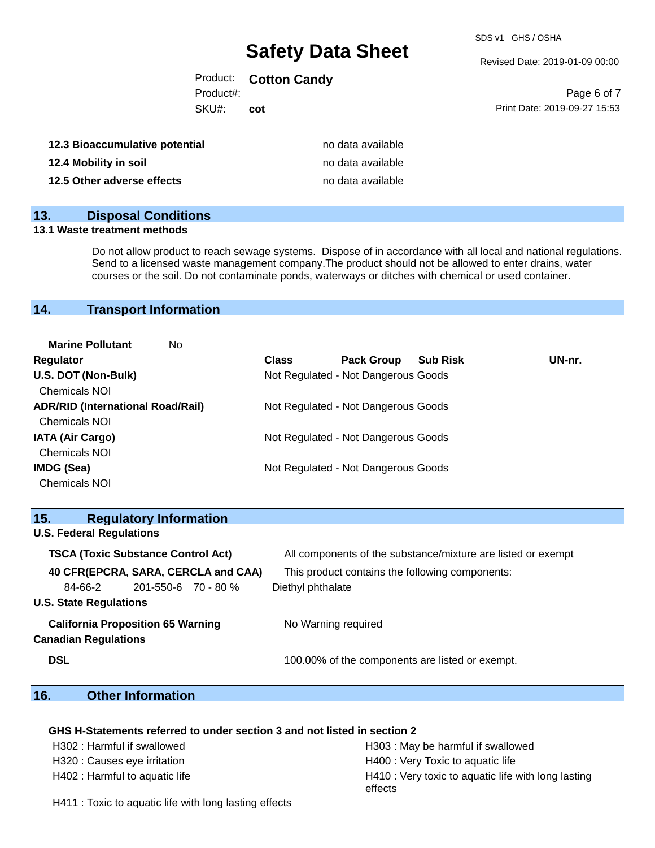SDS v1 GHS / OSHA

Revised Date: 2019-01-09 00:00

Product: **Cotton Candy**

Product#:

SKU#: **cot**

|                              | Page 6 of 7 |  |
|------------------------------|-------------|--|
| Print Date: 2019-09-27 15:53 |             |  |

| 12.3 Bioaccumulative potential | no data available |
|--------------------------------|-------------------|
| 12.4 Mobility in soil          | no data available |
| 12.5 Other adverse effects     | no data available |

### **13. Disposal Conditions**

#### **13.1 Waste treatment methods**

Do not allow product to reach sewage systems. Dispose of in accordance with all local and national regulations. Send to a licensed waste management company.The product should not be allowed to enter drains, water courses or the soil. Do not contaminate ponds, waterways or ditches with chemical or used container.

### **14. Transport Information**

| <b>Marine Pollutant</b><br>No            |              |                                     |                 |        |
|------------------------------------------|--------------|-------------------------------------|-----------------|--------|
| Regulator                                | <b>Class</b> | <b>Pack Group</b>                   | <b>Sub Risk</b> | UN-nr. |
| U.S. DOT (Non-Bulk)                      |              | Not Regulated - Not Dangerous Goods |                 |        |
| <b>Chemicals NOI</b>                     |              |                                     |                 |        |
| <b>ADR/RID (International Road/Rail)</b> |              | Not Regulated - Not Dangerous Goods |                 |        |
| <b>Chemicals NOI</b>                     |              |                                     |                 |        |
| <b>IATA (Air Cargo)</b>                  |              | Not Regulated - Not Dangerous Goods |                 |        |
| <b>Chemicals NOI</b>                     |              |                                     |                 |        |
| <b>IMDG (Sea)</b>                        |              | Not Regulated - Not Dangerous Goods |                 |        |
| <b>Chemicals NOI</b>                     |              |                                     |                 |        |

| 15.        |                                 | <b>Regulatory Information</b>             |                                     |                                                              |
|------------|---------------------------------|-------------------------------------------|-------------------------------------|--------------------------------------------------------------|
|            | <b>U.S. Federal Regulations</b> |                                           |                                     |                                                              |
|            |                                 | <b>TSCA (Toxic Substance Control Act)</b> |                                     | All components of the substance/mixture are listed or exempt |
|            |                                 |                                           | 40 CFR(EPCRA, SARA, CERCLA and CAA) | This product contains the following components:              |
|            | 84-66-2                         | 201-550-6 70 - 80 %                       |                                     | Diethyl phthalate                                            |
|            | <b>U.S. State Regulations</b>   |                                           |                                     |                                                              |
|            |                                 | <b>California Proposition 65 Warning</b>  |                                     | No Warning required                                          |
|            | <b>Canadian Regulations</b>     |                                           |                                     |                                                              |
| <b>DSL</b> |                                 |                                           |                                     | 100.00% of the components are listed or exempt.              |

### **16. Other Information**

#### **GHS H-Statements referred to under section 3 and not listed in section 2**

| H302 : Harmful if swallowed    | H303 : May be harmful if swallowed                             |
|--------------------------------|----------------------------------------------------------------|
| H320 : Causes eye irritation   | H400 : Very Toxic to aquatic life                              |
| H402 : Harmful to aquatic life | H410 : Very toxic to aquatic life with long lasting<br>effects |

H411 : Toxic to aquatic life with long lasting effects